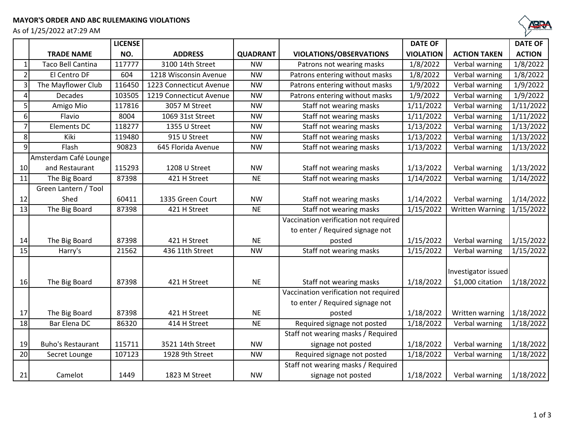As of 1/25/2022 at7:29 AM



|                |                          | <b>LICENSE</b> |                         |                 |                                       | <b>DATE OF</b>         |                        | <b>DATE OF</b> |
|----------------|--------------------------|----------------|-------------------------|-----------------|---------------------------------------|------------------------|------------------------|----------------|
|                | <b>TRADE NAME</b>        | NO.            | <b>ADDRESS</b>          | <b>QUADRANT</b> | VIOLATIONS/OBSERVATIONS               | <b>VIOLATION</b>       | <b>ACTION TAKEN</b>    | <b>ACTION</b>  |
|                | <b>Taco Bell Cantina</b> | 117777         | 3100 14th Street        | <b>NW</b>       | Patrons not wearing masks             | 1/8/2022               | Verbal warning         | 1/8/2022       |
| $\overline{2}$ | El Centro DF             | 604            | 1218 Wisconsin Avenue   | <b>NW</b>       | Patrons entering without masks        | 1/8/2022               | Verbal warning         | 1/8/2022       |
| 3              | The Mayflower Club       | 116450         | 1223 Connecticut Avenue | <b>NW</b>       | Patrons entering without masks        | 1/9/2022               | Verbal warning         | 1/9/2022       |
| $\overline{4}$ | <b>Decades</b>           | 103505         | 1219 Connecticut Avenue | <b>NW</b>       | Patrons entering without masks        | 1/9/2022               | Verbal warning         | 1/9/2022       |
| 5 <sup>1</sup> | Amigo Mio                | 117816         | 3057 M Street           | <b>NW</b>       | Staff not wearing masks               | 1/11/2022              | Verbal warning         | 1/11/2022      |
| 6              | Flavio                   | 8004           | 1069 31st Street        | <b>NW</b>       | Staff not wearing masks               | 1/11/2022              | Verbal warning         | 1/11/2022      |
| $\overline{7}$ | Elements DC              | 118277         | 1355 U Street           | <b>NW</b>       | Staff not wearing masks               | 1/13/2022              | Verbal warning         | 1/13/2022      |
| 8              | Kiki                     | 119480         | 915 U Street            | <b>NW</b>       | Staff not wearing masks               | $\frac{1}{1}$ /13/2022 | Verbal warning         | 1/13/2022      |
| $\overline{9}$ | Flash                    | 90823          | 645 Florida Avenue      | <b>NW</b>       | Staff not wearing masks               | 1/13/2022              | Verbal warning         | 1/13/2022      |
|                | Amsterdam Café Lounge    |                |                         |                 |                                       |                        |                        |                |
| 10             | and Restaurant           | 115293         | 1208 U Street           | <b>NW</b>       | Staff not wearing masks               | 1/13/2022              | Verbal warning         | 1/13/2022      |
| 11             | The Big Board            | 87398          | 421 H Street            | <b>NE</b>       | Staff not wearing masks               | 1/14/2022              | Verbal warning         | 1/14/2022      |
|                | Green Lantern / Tool     |                |                         |                 |                                       |                        |                        |                |
| 12             | Shed                     | 60411          | 1335 Green Court        | <b>NW</b>       | Staff not wearing masks               | 1/14/2022              | Verbal warning         | 1/14/2022      |
| 13             | The Big Board            | 87398          | 421 H Street            | <b>NE</b>       | Staff not wearing masks               | 1/15/2022              | <b>Written Warning</b> | 1/15/2022      |
|                |                          |                |                         |                 | Vaccination verification not required |                        |                        |                |
|                |                          |                |                         |                 | to enter / Required signage not       |                        |                        |                |
| 14             | The Big Board            | 87398          | 421 H Street            | <b>NE</b>       | posted                                | 1/15/2022              | Verbal warning         | 1/15/2022      |
| 15             | Harry's                  | 21562          | 436 11th Street         | <b>NW</b>       | Staff not wearing masks               | 1/15/2022              | Verbal warning         | 1/15/2022      |
|                |                          |                |                         |                 |                                       |                        |                        |                |
|                |                          |                |                         |                 |                                       |                        | Investigator issued    |                |
| 16             | The Big Board            | 87398          | 421 H Street            | <b>NE</b>       | Staff not wearing masks               | 1/18/2022              | \$1,000 citation       | 1/18/2022      |
|                |                          |                |                         |                 | Vaccination verification not required |                        |                        |                |
|                |                          |                |                         |                 | to enter / Required signage not       |                        |                        |                |
| 17             | The Big Board            | 87398          | 421 H Street            | <b>NE</b>       | posted                                | 1/18/2022              | Written warning        | 1/18/2022      |
| 18             | Bar Elena DC             | 86320          | 414 H Street            | <b>NE</b>       | Required signage not posted           | 1/18/2022              | Verbal warning         | 1/18/2022      |
|                |                          |                |                         |                 | Staff not wearing masks / Required    |                        |                        |                |
| 19             | <b>Buho's Restaurant</b> | 115711         | 3521 14th Street        | <b>NW</b>       | signage not posted                    | 1/18/2022              | Verbal warning         | 1/18/2022      |
| 20             | Secret Lounge            | 107123         | 1928 9th Street         | <b>NW</b>       | Required signage not posted           | 1/18/2022              | Verbal warning         | 1/18/2022      |
|                |                          |                |                         |                 | Staff not wearing masks / Required    |                        |                        |                |
| 21             | Camelot                  | 1449           | 1823 M Street           | <b>NW</b>       | signage not posted                    | 1/18/2022              | Verbal warning         | 1/18/2022      |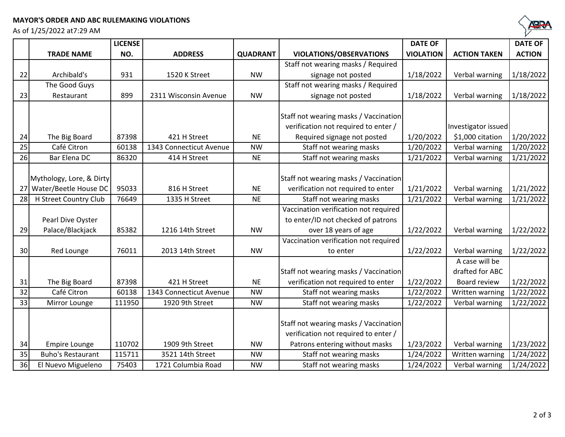## **MAYOR'S ORDER AND ABC RULEMAKING VIOLATIONS**

As of 1/25/2022 at7:29 AM



|    |                          | <b>LICENSE</b> |                         |                 |                                       | <b>DATE OF</b>   |                     | <b>DATE OF</b> |
|----|--------------------------|----------------|-------------------------|-----------------|---------------------------------------|------------------|---------------------|----------------|
|    | <b>TRADE NAME</b>        | NO.            | <b>ADDRESS</b>          | <b>QUADRANT</b> | <b>VIOLATIONS/OBSERVATIONS</b>        | <b>VIOLATION</b> | <b>ACTION TAKEN</b> | <b>ACTION</b>  |
|    |                          |                |                         |                 | Staff not wearing masks / Required    |                  |                     |                |
| 22 | Archibald's              | 931            | 1520 K Street           | <b>NW</b>       | signage not posted                    | 1/18/2022        | Verbal warning      | 1/18/2022      |
|    | The Good Guys            |                |                         |                 | Staff not wearing masks / Required    |                  |                     |                |
| 23 | Restaurant               | 899            | 2311 Wisconsin Avenue   | <b>NW</b>       | signage not posted                    | 1/18/2022        | Verbal warning      | 1/18/2022      |
|    |                          |                |                         |                 |                                       |                  |                     |                |
|    |                          |                |                         |                 | Staff not wearing masks / Vaccination |                  |                     |                |
|    |                          |                |                         |                 | verification not required to enter /  |                  | Investigator issued |                |
| 24 | The Big Board            | 87398          | 421 H Street            | <b>NE</b>       | Required signage not posted           | 1/20/2022        | \$1,000 citation    | 1/20/2022      |
| 25 | Café Citron              | 60138          | 1343 Connecticut Avenue | <b>NW</b>       | Staff not wearing masks               | 1/20/2022        | Verbal warning      | 1/20/2022      |
| 26 | Bar Elena DC             | 86320          | 414 H Street            | <b>NE</b>       | Staff not wearing masks               | 1/21/2022        | Verbal warning      | 1/21/2022      |
|    |                          |                |                         |                 |                                       |                  |                     |                |
|    | Mythology, Lore, & Dirty |                |                         |                 | Staff not wearing masks / Vaccination |                  |                     |                |
| 27 | Water/Beetle House DC    | 95033          | 816 H Street            | <b>NE</b>       | verification not required to enter    | 1/21/2022        | Verbal warning      | 1/21/2022      |
| 28 | H Street Country Club    | 76649          | 1335 H Street           | <b>NE</b>       | Staff not wearing masks               | 1/21/2022        | Verbal warning      | 1/21/2022      |
|    |                          |                |                         |                 | Vaccination verification not required |                  |                     |                |
|    | Pearl Dive Oyster        |                |                         |                 | to enter/ID not checked of patrons    |                  |                     |                |
| 29 | Palace/Blackjack         | 85382          | 1216 14th Street        | <b>NW</b>       | over 18 years of age                  | 1/22/2022        | Verbal warning      | 1/22/2022      |
|    |                          |                |                         |                 | Vaccination verification not required |                  |                     |                |
| 30 | Red Lounge               | 76011          | 2013 14th Street        | <b>NW</b>       | to enter                              | 1/22/2022        | Verbal warning      | 1/22/2022      |
|    |                          |                |                         |                 |                                       |                  | A case will be      |                |
|    |                          |                |                         |                 | Staff not wearing masks / Vaccination |                  | drafted for ABC     |                |
| 31 | The Big Board            | 87398          | 421 H Street            | <b>NE</b>       | verification not required to enter    | 1/22/2022        | Board review        | 1/22/2022      |
| 32 | Café Citron              | 60138          | 1343 Connecticut Avenue | <b>NW</b>       | Staff not wearing masks               | 1/22/2022        | Written warning     | 1/22/2022      |
| 33 | Mirror Lounge            | 111950         | 1920 9th Street         | <b>NW</b>       | Staff not wearing masks               | 1/22/2022        | Verbal warning      | 1/22/2022      |
|    |                          |                |                         |                 |                                       |                  |                     |                |
|    |                          |                |                         |                 | Staff not wearing masks / Vaccination |                  |                     |                |
|    |                          |                |                         |                 | verification not required to enter /  |                  |                     |                |
| 34 | <b>Empire Lounge</b>     | 110702         | 1909 9th Street         | <b>NW</b>       | Patrons entering without masks        | 1/23/2022        | Verbal warning      | 1/23/2022      |
| 35 | <b>Buho's Restaurant</b> | 115711         | 3521 14th Street        | <b>NW</b>       | Staff not wearing masks               | 1/24/2022        | Written warning     | 1/24/2022      |
| 36 | El Nuevo Migueleno       | 75403          | 1721 Columbia Road      | <b>NW</b>       | Staff not wearing masks               | 1/24/2022        | Verbal warning      | 1/24/2022      |